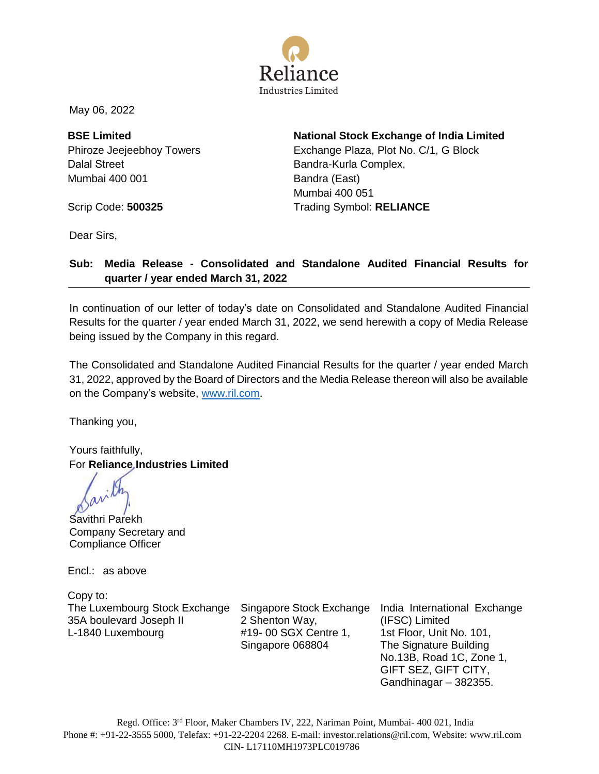

May 06, 2022

**BSE Limited** Phiroze Jeejeebhoy Towers Dalal Street Mumbai 400 001

**National Stock Exchange of India Limited** Exchange Plaza, Plot No. C/1, G Block Bandra-Kurla Complex, Bandra (East) Mumbai 400 051 Trading Symbol: **RELIANCE** 

Scrip Code: **500325** 

Dear Sirs,

#### **Sub: Media Release - Consolidated and Standalone Audited Financial Results for quarter / year ended March 31, 2022**

In continuation of our letter of today's date on Consolidated and Standalone Audited Financial Results for the quarter / year ended March 31, 2022, we send herewith a copy of Media Release being issued by the Company in this regard.

The Consolidated and Standalone Audited Financial Results for the quarter / year ended March 31, 2022, approved by the Board of Directors and the Media Release thereon will also be available on the Company's website, [www.ril.com.](http://www.ril.com/)

Thanking you,

Yours faithfully, For **Reliance Industries Limited**

Savithri Parekh Company Secretary and Compliance Officer

Encl.: as above

Copy to: The Luxembourg Stock Exchange Singapore Stock Exchange India International Exchange 35A boulevard Joseph II L-1840 Luxembourg

2 Shenton Way, #19- 00 SGX Centre 1, Singapore 068804

(IFSC) Limited 1st Floor, Unit No. 101, The Signature Building No.13B, Road 1C, Zone 1, GIFT SEZ, GIFT CITY, Gandhinagar – 382355.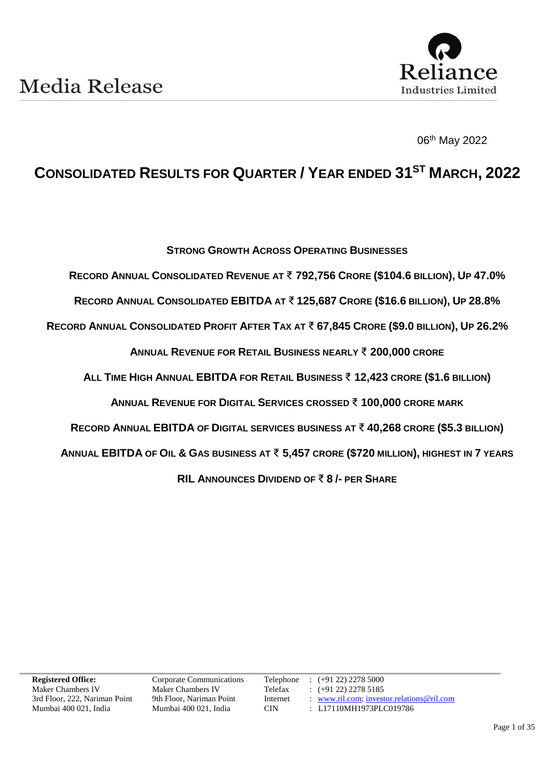

06th May 2022

### **CONSOLIDATED RESULTS FOR QUARTER / YEAR ENDED 31 ST MARCH, 2022**

**STRONG GROWTH ACROSS OPERATING BUSINESSES**

**RECORD ANNUAL CONSOLIDATED REVENUE AT** ₹ **792,756 CRORE (\$104.6 BILLION), UP 47.0%**

**RECORD ANNUAL CONSOLIDATED EBITDA AT** ₹ **125,687 CRORE (\$16.6 BILLION), UP 28.8%**

RECORD ANNUAL CONSOLIDATED PROFIT AFTER TAX AT ₹ 67,845 CRORE (\$9.0 BILLION), UP 26.2%

**ANNUAL REVENUE FOR RETAIL BUSINESS NEARLY** ₹ **200,000 CRORE**

**ALL TIME HIGH ANNUAL EBITDA FOR RETAIL BUSINESS** ₹ **12,423 CRORE (\$1.6 BILLION)**

**ANNUAL REVENUE FOR DIGITAL SERVICES CROSSED** ₹ **100,000 CRORE MARK**

**RECORD ANNUAL EBITDA OF DIGITAL SERVICES BUSINESS AT** ₹ **40,268 CRORE (\$5.3 BILLION)**

**ANNUAL EBITDA OF OIL & GAS BUSINESS AT** ₹ **5,457 CRORE (\$720 MILLION), HIGHEST IN 7 YEARS**

**RIL ANNOUNCES DIVIDEND OF** ₹ **8 /- PER SHARE**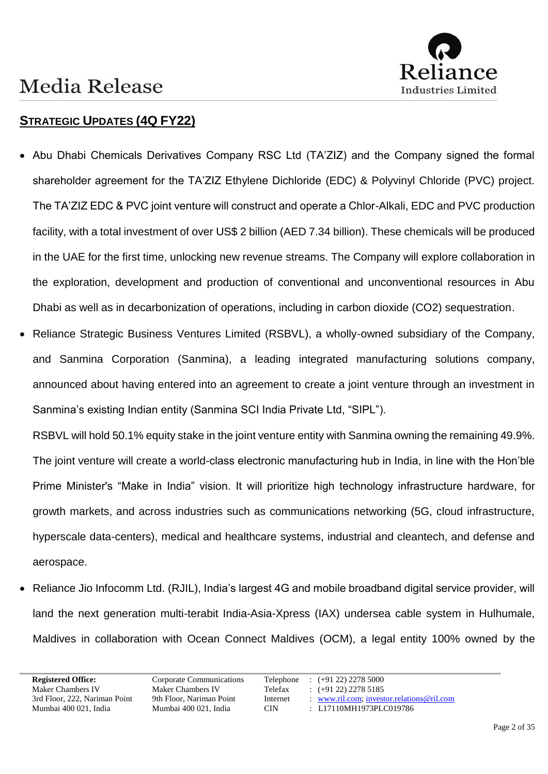

### **STRATEGIC UPDATES (4Q FY22)**

- Abu Dhabi Chemicals Derivatives Company RSC Ltd (TA'ZIZ) and the Company signed the formal shareholder agreement for the TA'ZIZ Ethylene Dichloride (EDC) & Polyvinyl Chloride (PVC) project. The TA'ZIZ EDC & PVC joint venture will construct and operate a Chlor-Alkali, EDC and PVC production facility, with a total investment of over US\$ 2 billion (AED 7.34 billion). These chemicals will be produced in the UAE for the first time, unlocking new revenue streams. The Company will explore collaboration in the exploration, development and production of conventional and unconventional resources in Abu Dhabi as well as in decarbonization of operations, including in carbon dioxide (CO2) sequestration.
- Reliance Strategic Business Ventures Limited (RSBVL), a wholly-owned subsidiary of the Company, and Sanmina Corporation (Sanmina), a leading integrated manufacturing solutions company, announced about having entered into an agreement to create a joint venture through an investment in Sanmina's existing Indian entity (Sanmina SCI India Private Ltd, "SIPL").

RSBVL will hold 50.1% equity stake in the joint venture entity with Sanmina owning the remaining 49.9%. The joint venture will create a world-class electronic manufacturing hub in India, in line with the Hon'ble Prime Minister's "Make in India" vision. It will prioritize high technology infrastructure hardware, for growth markets, and across industries such as communications networking (5G, cloud infrastructure, hyperscale data-centers), medical and healthcare systems, industrial and cleantech, and defense and aerospace.

• Reliance Jio Infocomm Ltd. (RJIL), India's largest 4G and mobile broadband digital service provider, will land the next generation multi-terabit India-Asia-Xpress (IAX) undersea cable system in Hulhumale, Maldives in collaboration with Ocean Connect Maldives (OCM), a legal entity 100% owned by the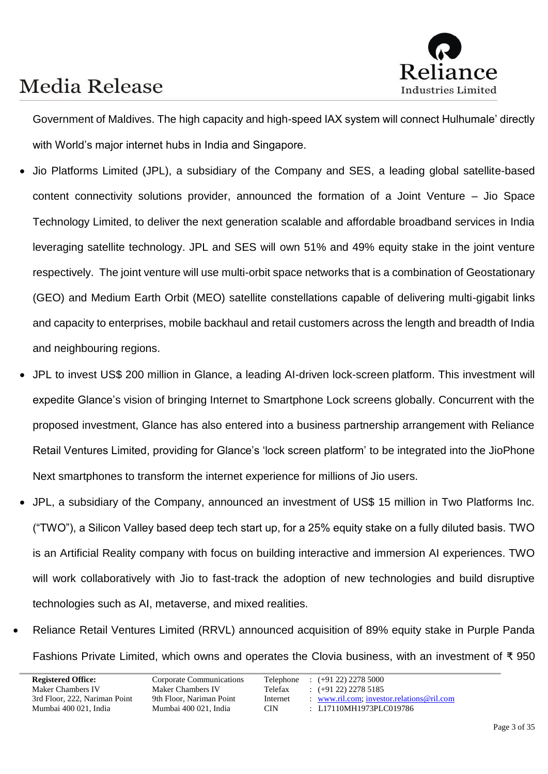

Government of Maldives. The high capacity and high-speed IAX system will connect Hulhumale' directly with World's major internet hubs in India and Singapore.

- Jio Platforms Limited (JPL), a subsidiary of the Company and SES, a leading global satellite-based content connectivity solutions provider, announced the formation of a Joint Venture – Jio Space Technology Limited, to deliver the next generation scalable and affordable broadband services in India leveraging satellite technology. JPL and SES will own 51% and 49% equity stake in the joint venture respectively. The joint venture will use multi-orbit space networks that is a combination of Geostationary (GEO) and Medium Earth Orbit (MEO) satellite constellations capable of delivering multi-gigabit links and capacity to enterprises, mobile backhaul and retail customers across the length and breadth of India and neighbouring regions.
- JPL to invest US\$ 200 million in Glance, a leading AI-driven lock-screen platform. This investment will expedite Glance's vision of bringing Internet to Smartphone Lock screens globally. Concurrent with the proposed investment, Glance has also entered into a business partnership arrangement with Reliance Retail Ventures Limited, providing for Glance's 'lock screen platform' to be integrated into the JioPhone Next smartphones to transform the internet experience for millions of Jio users.
- JPL, a subsidiary of the Company, announced an investment of US\$ 15 million in Two Platforms Inc. ("TWO"), a Silicon Valley based deep tech start up, for a 25% equity stake on a fully diluted basis. TWO is an Artificial Reality company with focus on building interactive and immersion AI experiences. TWO will work collaboratively with Jio to fast-track the adoption of new technologies and build disruptive technologies such as AI, metaverse, and mixed realities.
- Reliance Retail Ventures Limited (RRVL) announced acquisition of 89% equity stake in Purple Panda Fashions Private Limited, which owns and operates the Clovia business, with an investment of ₹ 950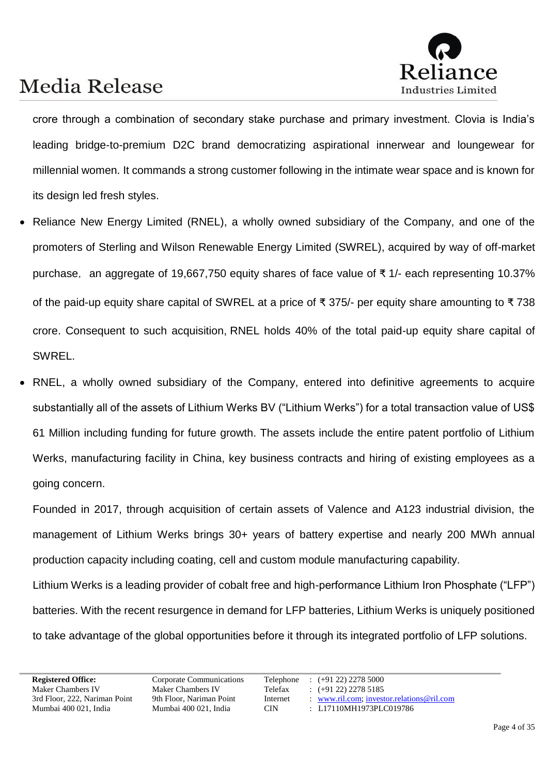

crore through a combination of secondary stake purchase and primary investment. Clovia is India's leading bridge-to-premium D2C brand democratizing aspirational innerwear and loungewear for millennial women. It commands a strong customer following in the intimate wear space and is known for its design led fresh styles.

- Reliance New Energy Limited (RNEL), a wholly owned subsidiary of the Company, and one of the promoters of Sterling and Wilson Renewable Energy Limited (SWREL), acquired by way of off-market purchase, an aggregate of 19,667,750 equity shares of face value of ₹ 1/- each representing 10.37% of the paid-up equity share capital of SWREL at a price of ₹ 375/- per equity share amounting to ₹ 738 crore. Consequent to such acquisition, RNEL holds 40% of the total paid-up equity share capital of SWREL.
- RNEL, a wholly owned subsidiary of the Company, entered into definitive agreements to acquire substantially all of the assets of Lithium Werks BV ("Lithium Werks") for a total transaction value of US\$ 61 Million including funding for future growth. The assets include the entire patent portfolio of Lithium Werks, manufacturing facility in China, key business contracts and hiring of existing employees as a going concern.

Founded in 2017, through acquisition of certain assets of Valence and A123 industrial division, the management of Lithium Werks brings 30+ years of battery expertise and nearly 200 MWh annual production capacity including coating, cell and custom module manufacturing capability.

Lithium Werks is a leading provider of cobalt free and high-performance Lithium Iron Phosphate ("LFP") batteries. With the recent resurgence in demand for LFP batteries, Lithium Werks is uniquely positioned to take advantage of the global opportunities before it through its integrated portfolio of LFP solutions.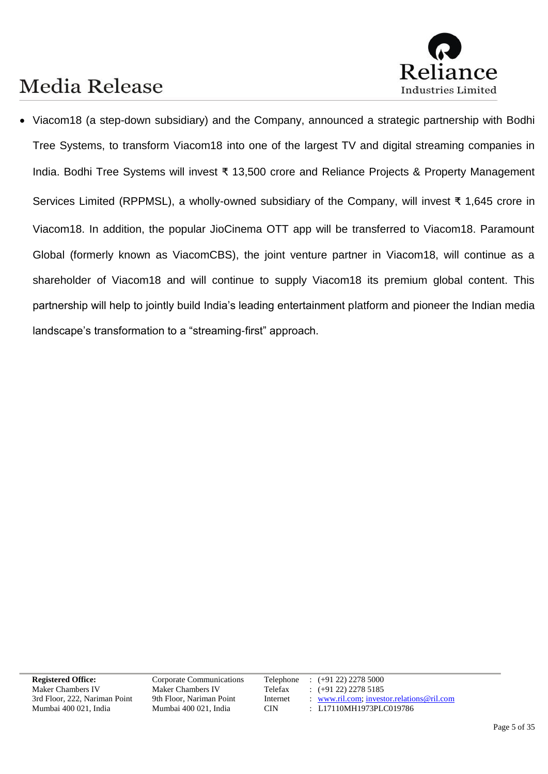

• Viacom18 (a step-down subsidiary) and the Company, announced a strategic partnership with Bodhi Tree Systems, to transform Viacom18 into one of the largest TV and digital streaming companies in India. Bodhi Tree Systems will invest ₹ 13,500 crore and Reliance Projects & Property Management Services Limited (RPPMSL), a wholly-owned subsidiary of the Company, will invest ₹ 1,645 crore in Viacom18. In addition, the popular JioCinema OTT app will be transferred to Viacom18. Paramount Global (formerly known as ViacomCBS), the joint venture partner in Viacom18, will continue as a shareholder of Viacom18 and will continue to supply Viacom18 its premium global content. This partnership will help to jointly build India's leading entertainment platform and pioneer the Indian media landscape's transformation to a "streaming-first" approach.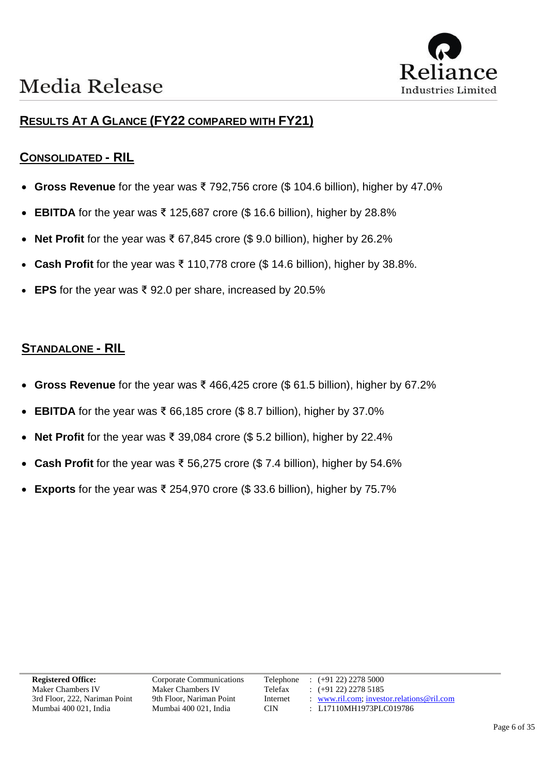

### **RESULTS AT A GLANCE (FY22 COMPARED WITH FY21)**

#### **CONSOLIDATED - RIL**

- **Gross Revenue** for the year was ₹ 792,756 crore (\$ 104.6 billion), higher by 47.0%
- **EBITDA** for the year was ₹ 125,687 crore (\$ 16.6 billion), higher by 28.8%
- **Net Profit** for the year was ₹ 67,845 crore (\$ 9.0 billion), higher by 26.2%
- **Cash Profit** for the year was ₹ 110,778 crore (\$ 14.6 billion), higher by 38.8%.
- **EPS** for the year was ₹ 92.0 per share, increased by 20.5%

#### **STANDALONE - RIL**

- **Gross Revenue** for the year was ₹ 466,425 crore (\$ 61.5 billion), higher by 67.2%
- **EBITDA** for the year was ₹ 66,185 crore (\$8.7 billion), higher by 37.0%
- **Net Profit** for the year was ₹ 39,084 crore (\$ 5.2 billion), higher by 22.4%
- **Cash Profit** for the year was ₹ 56,275 crore (\$7.4 billion), higher by 54.6%
- **Exports** for the year was ₹ 254,970 crore (\$ 33.6 billion), higher by 75.7%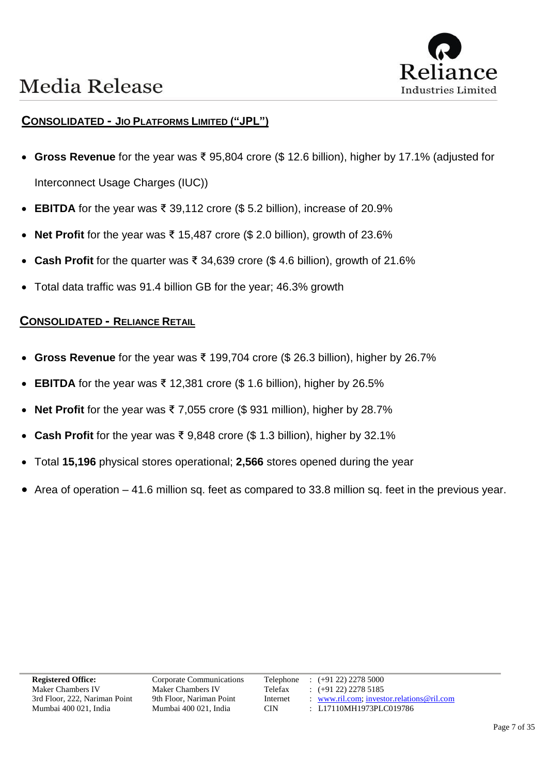



#### **CONSOLIDATED - JIO PLATFORMS LIMITED ("JPL")**

- **Gross Revenue** for the year was ₹ 95,804 crore (\$ 12.6 billion), higher by 17.1% (adjusted for Interconnect Usage Charges (IUC))
- **EBITDA** for the year was ₹ 39,112 crore (\$5.2 billion), increase of 20.9%
- **Net Profit** for the year was ₹ 15,487 crore (\$ 2.0 billion), growth of 23.6%
- **Cash Profit** for the quarter was ₹ 34,639 crore (\$ 4.6 billion), growth of 21.6%
- Total data traffic was 91.4 billion GB for the year; 46.3% growth

#### **CONSOLIDATED - RELIANCE RETAIL**

- **Gross Revenue** for the year was ₹ 199,704 crore (\$ 26.3 billion), higher by 26.7%
- **EBITDA** for the year was ₹ 12,381 crore (\$ 1.6 billion), higher by 26.5%
- **Net Profit** for the year was ₹ 7,055 crore (\$ 931 million), higher by 28.7%
- **Cash Profit** for the year was ₹ 9,848 crore (\$ 1.3 billion), higher by 32.1%
- Total **15,196** physical stores operational; **2,566** stores opened during the year
- Area of operation 41.6 million sq. feet as compared to 33.8 million sq. feet in the previous year.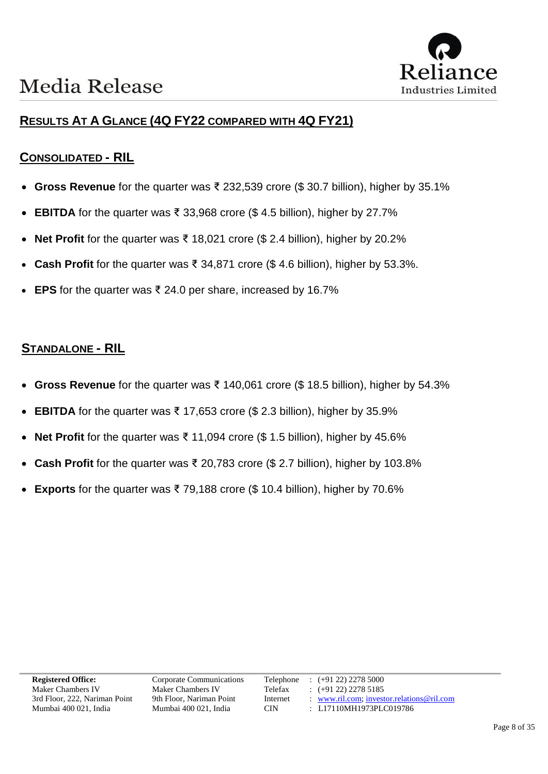### **RESULTS AT A GLANCE (4Q FY22 COMPARED WITH 4Q FY21)**

#### **CONSOLIDATED - RIL**

- **Gross Revenue** for the quarter was ₹ 232,539 crore (\$ 30.7 billion), higher by 35.1%
- **EBITDA** for the quarter was ₹ 33,968 crore (\$ 4.5 billion), higher by 27.7%
- **Net Profit** for the quarter was ₹ 18,021 crore (\$ 2.4 billion), higher by 20.2%
- **Cash Profit** for the quarter was ₹ 34,871 crore (\$ 4.6 billion), higher by 53.3%.
- **EPS** for the quarter was ₹ 24.0 per share, increased by 16.7%

#### **STANDALONE - RIL**

- **Gross Revenue** for the quarter was ₹ 140,061 crore (\$ 18.5 billion), higher by 54.3%
- **EBITDA** for the quarter was ₹ 17,653 crore (\$ 2.3 billion), higher by 35.9%
- **Net Profit** for the quarter was ₹ 11,094 crore (\$ 1.5 billion), higher by 45.6%
- **Cash Profit** for the quarter was ₹ 20,783 crore (\$ 2.7 billion), higher by 103.8%
- **Exports** for the quarter was  $\bar{\tau}$  79,188 crore (\$ 10.4 billion), higher by 70.6%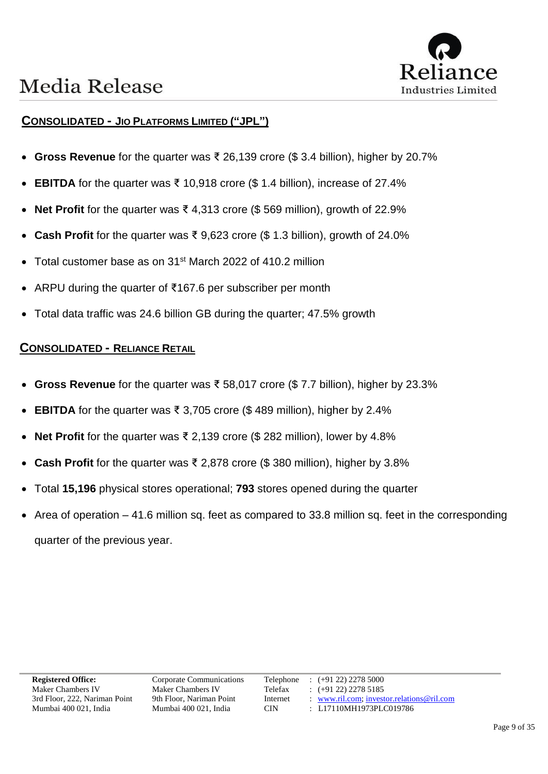



#### **CONSOLIDATED - JIO PLATFORMS LIMITED ("JPL")**

- **Gross Revenue** for the quarter was ₹ 26,139 crore (\$ 3.4 billion), higher by 20.7%
- **EBITDA** for the quarter was  $\bar{\xi}$  10,918 crore (\$ 1.4 billion), increase of 27.4%
- **Net Profit** for the quarter was ₹ 4,313 crore (\$ 569 million), growth of 22.9%
- **Cash Profit** for the quarter was ₹ 9,623 crore (\$ 1.3 billion), growth of 24.0%
- Total customer base as on 31<sup>st</sup> March 2022 of 410.2 million
- ARPU during the quarter of ₹167.6 per subscriber per month
- Total data traffic was 24.6 billion GB during the quarter; 47.5% growth

#### **CONSOLIDATED - RELIANCE RETAIL**

- **Gross Revenue** for the quarter was ₹ 58,017 crore (\$ 7.7 billion), higher by 23.3%
- **EBITDA** for the quarter was ₹ 3,705 crore (\$489 million), higher by 2.4%
- **Net Profit** for the quarter was ₹ 2,139 crore (\$ 282 million), lower by 4.8%
- **Cash Profit** for the quarter was ₹ 2,878 crore (\$ 380 million), higher by 3.8%
- Total **15,196** physical stores operational; **793** stores opened during the quarter
- Area of operation 41.6 million sq. feet as compared to 33.8 million sq. feet in the corresponding quarter of the previous year.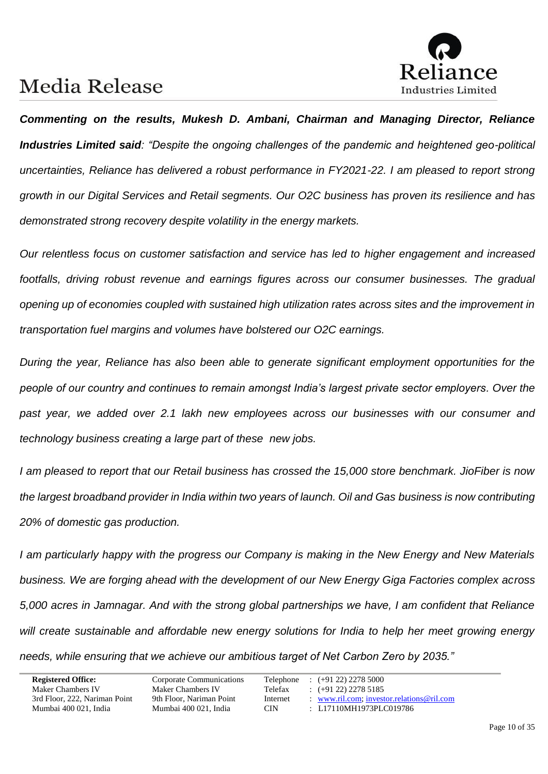

*Commenting on the results, Mukesh D. Ambani, Chairman and Managing Director, Reliance Industries Limited said: "Despite the ongoing challenges of the pandemic and heightened geo-political uncertainties, Reliance has delivered a robust performance in FY2021-22. I am pleased to report strong growth in our Digital Services and Retail segments. Our O2C business has proven its resilience and has demonstrated strong recovery despite volatility in the energy markets.* 

*Our relentless focus on customer satisfaction and service has led to higher engagement and increased footfalls, driving robust revenue and earnings figures across our consumer businesses. The gradual opening up of economies coupled with sustained high utilization rates across sites and the improvement in transportation fuel margins and volumes have bolstered our O2C earnings.*

*During the year, Reliance has also been able to generate significant employment opportunities for the people of our country and continues to remain amongst India's largest private sector employers. Over the past year, we added over 2.1 lakh new employees across our businesses with our consumer and technology business creating a large part of these new jobs.* 

*I am pleased to report that our Retail business has crossed the 15,000 store benchmark. JioFiber is now the largest broadband provider in India within two years of launch. Oil and Gas business is now contributing 20% of domestic gas production.*

*I am particularly happy with the progress our Company is making in the New Energy and New Materials business. We are forging ahead with the development of our New Energy Giga Factories complex across 5,000 acres in Jamnagar. And with the strong global partnerships we have, I am confident that Reliance will create sustainable and affordable new energy solutions for India to help her meet growing energy needs, while ensuring that we achieve our ambitious target of Net Carbon Zero by 2035."*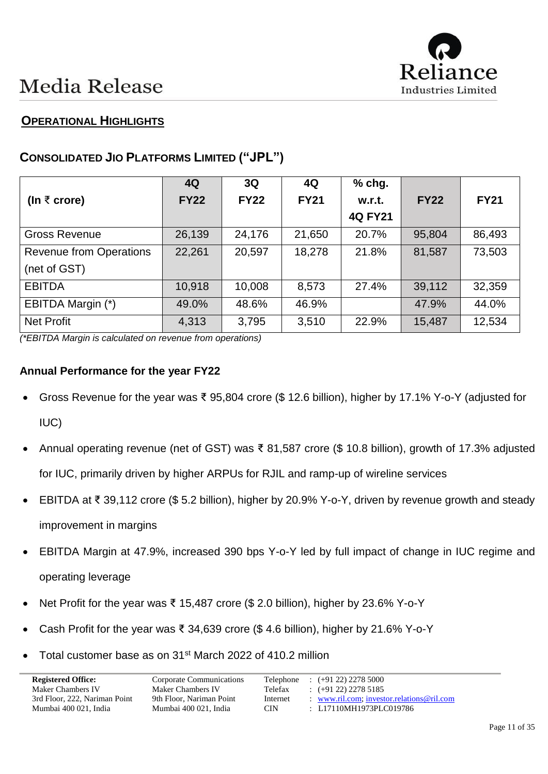

### **OPERATIONAL HIGHLIGHTS**

### **CONSOLIDATED JIO PLATFORMS LIMITED ("JPL")**

|                                | 4Q          | 3Q          | 4Q          | % chg.         |             |             |
|--------------------------------|-------------|-------------|-------------|----------------|-------------|-------------|
| (In $\bar{\tau}$ crore)        | <b>FY22</b> | <b>FY22</b> | <b>FY21</b> | w.r.t.         | <b>FY22</b> | <b>FY21</b> |
|                                |             |             |             | <b>4Q FY21</b> |             |             |
| <b>Gross Revenue</b>           | 26,139      | 24,176      | 21,650      | 20.7%          | 95,804      | 86,493      |
| <b>Revenue from Operations</b> | 22,261      | 20,597      | 18,278      | 21.8%          | 81,587      | 73,503      |
| (net of GST)                   |             |             |             |                |             |             |
| <b>EBITDA</b>                  | 10,918      | 10,008      | 8,573       | 27.4%          | 39,112      | 32,359      |
| EBITDA Margin (*)              | 49.0%       | 48.6%       | 46.9%       |                | 47.9%       | 44.0%       |
| <b>Net Profit</b>              | 4,313       | 3,795       | 3,510       | 22.9%          | 15,487      | 12,534      |

*(\*EBITDA Margin is calculated on revenue from operations)*

#### **Annual Performance for the year FY22**

- Gross Revenue for the year was ₹ 95,804 crore (\$ 12.6 billion), higher by 17.1% Y-o-Y (adjusted for IUC)
- Annual operating revenue (net of GST) was ₹ 81,587 crore (\$ 10.8 billion), growth of 17.3% adjusted for IUC, primarily driven by higher ARPUs for RJIL and ramp-up of wireline services
- EBITDA at ₹ 39,112 crore (\$ 5.2 billion), higher by 20.9% Y-o-Y, driven by revenue growth and steady improvement in margins
- EBITDA Margin at 47.9%, increased 390 bps Y-o-Y led by full impact of change in IUC regime and operating leverage
- Net Profit for the year was ₹ 15,487 crore (\$ 2.0 billion), higher by 23.6% Y-o-Y
- Cash Profit for the year was ₹ 34,639 crore (\$4.6 billion), higher by 21.6% Y-o-Y
- Total customer base as on 31<sup>st</sup> March 2022 of 410.2 million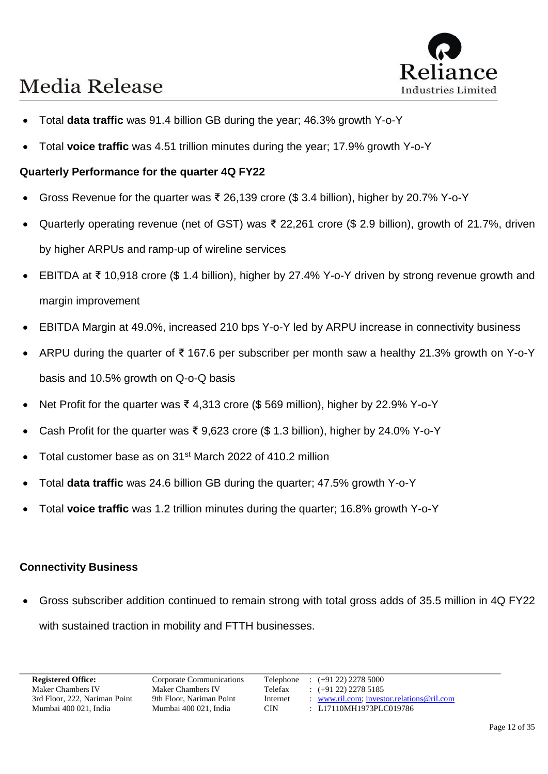

- Total **data traffic** was 91.4 billion GB during the year; 46.3% growth Y-o-Y
- Total **voice traffic** was 4.51 trillion minutes during the year; 17.9% growth Y-o-Y

#### **Quarterly Performance for the quarter 4Q FY22**

- Gross Revenue for the quarter was ₹ 26,139 crore (\$ 3.4 billion), higher by 20.7% Y-o-Y
- Quarterly operating revenue (net of GST) was ₹ 22,261 crore (\$ 2.9 billion), growth of 21.7%, driven by higher ARPUs and ramp-up of wireline services
- EBITDA at ₹ 10,918 crore (\$ 1.4 billion), higher by 27.4% Y-o-Y driven by strong revenue growth and margin improvement
- EBITDA Margin at 49.0%, increased 210 bps Y-o-Y led by ARPU increase in connectivity business
- ARPU during the quarter of ₹ 167.6 per subscriber per month saw a healthy 21.3% growth on Y-o-Y basis and 10.5% growth on Q-o-Q basis
- Net Profit for the quarter was ₹ 4,313 crore (\$569 million), higher by 22.9% Y-o-Y
- Cash Profit for the quarter was ₹ 9,623 crore (\$ 1.3 billion), higher by 24.0% Y-o-Y
- Total customer base as on 31<sup>st</sup> March 2022 of 410.2 million
- Total **data traffic** was 24.6 billion GB during the quarter; 47.5% growth Y-o-Y
- Total **voice traffic** was 1.2 trillion minutes during the quarter; 16.8% growth Y-o-Y

#### **Connectivity Business**

• Gross subscriber addition continued to remain strong with total gross adds of 35.5 million in 4Q FY22 with sustained traction in mobility and FTTH businesses.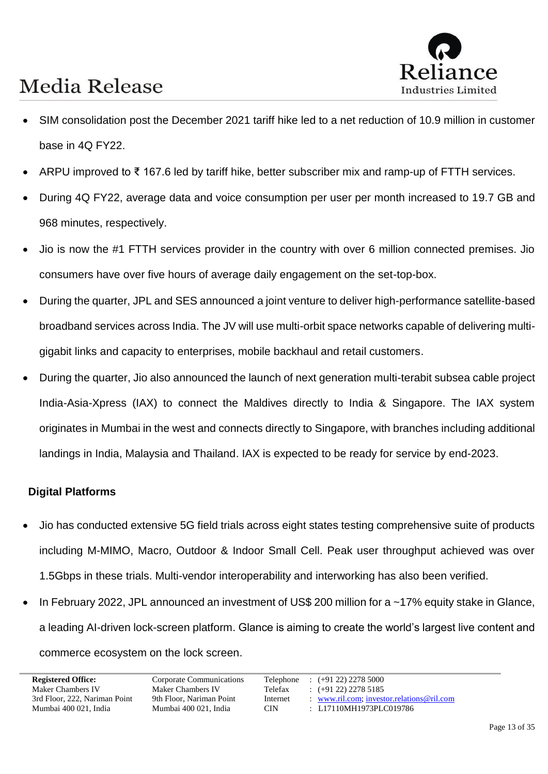

- SIM consolidation post the December 2021 tariff hike led to a net reduction of 10.9 million in customer base in 4Q FY22.
- ARPU improved to ₹ 167.6 led by tariff hike, better subscriber mix and ramp-up of FTTH services.
- During 4Q FY22, average data and voice consumption per user per month increased to 19.7 GB and 968 minutes, respectively.
- Jio is now the #1 FTTH services provider in the country with over 6 million connected premises. Jio consumers have over five hours of average daily engagement on the set-top-box.
- During the quarter, JPL and SES announced a joint venture to deliver high-performance satellite-based broadband services across India. The JV will use multi-orbit space networks capable of delivering multigigabit links and capacity to enterprises, mobile backhaul and retail customers.
- During the quarter, Jio also announced the launch of next generation multi-terabit subsea cable project India-Asia-Xpress (IAX) to connect the Maldives directly to India & Singapore. The IAX system originates in Mumbai in the west and connects directly to Singapore, with branches including additional landings in India, Malaysia and Thailand. IAX is expected to be ready for service by end-2023.

#### **Digital Platforms**

- Jio has conducted extensive 5G field trials across eight states testing comprehensive suite of products including M-MIMO, Macro, Outdoor & Indoor Small Cell. Peak user throughput achieved was over 1.5Gbps in these trials. Multi-vendor interoperability and interworking has also been verified.
- In February 2022, JPL announced an investment of US\$ 200 million for a ~17% equity stake in Glance, a leading AI-driven lock-screen platform. Glance is aiming to create the world's largest live content and commerce ecosystem on the lock screen.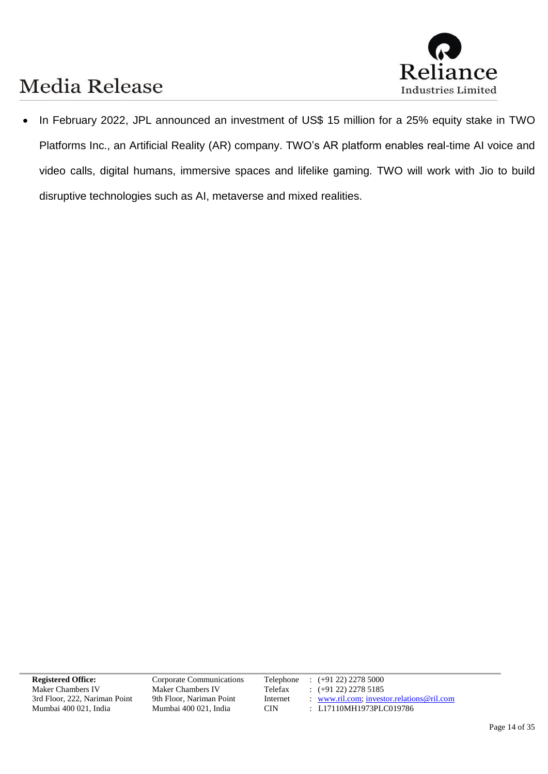

• In February 2022, JPL announced an investment of US\$ 15 million for a 25% equity stake in TWO Platforms Inc., an Artificial Reality (AR) company. TWO's AR platform enables real-time AI voice and video calls, digital humans, immersive spaces and lifelike gaming. TWO will work with Jio to build disruptive technologies such as AI, metaverse and mixed realities.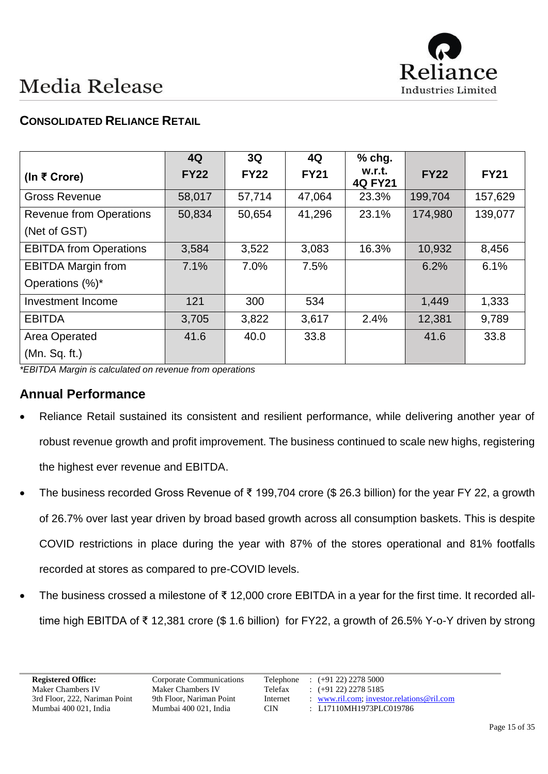

### **CONSOLIDATED RELIANCE RETAIL**

|                                | 4Q          | 3Q          | 4Q          | $%$ chg.                 |             |             |
|--------------------------------|-------------|-------------|-------------|--------------------------|-------------|-------------|
| (In ₹ Crore)                   | <b>FY22</b> | <b>FY22</b> | <b>FY21</b> | w.r.t.<br><b>4Q FY21</b> | <b>FY22</b> | <b>FY21</b> |
| <b>Gross Revenue</b>           | 58,017      | 57,714      | 47,064      | 23.3%                    | 199,704     | 157,629     |
| <b>Revenue from Operations</b> | 50,834      | 50,654      | 41,296      | 23.1%                    | 174,980     | 139,077     |
| (Net of GST)                   |             |             |             |                          |             |             |
| <b>EBITDA from Operations</b>  | 3,584       | 3,522       | 3,083       | 16.3%                    | 10,932      | 8,456       |
| <b>EBITDA Margin from</b>      | 7.1%        | 7.0%        | 7.5%        |                          | 6.2%        | 6.1%        |
| Operations (%)*                |             |             |             |                          |             |             |
| Investment Income              | 121         | 300         | 534         |                          | 1,449       | 1,333       |
| <b>EBITDA</b>                  | 3,705       | 3,822       | 3,617       | 2.4%                     | 12,381      | 9,789       |
| Area Operated                  | 41.6        | 40.0        | 33.8        |                          | 41.6        | 33.8        |
| (Mn. Sq. ft.)                  |             |             |             |                          |             |             |

*\*EBITDA Margin is calculated on revenue from operations*

#### **Annual Performance**

- Reliance Retail sustained its consistent and resilient performance, while delivering another year of robust revenue growth and profit improvement. The business continued to scale new highs, registering the highest ever revenue and EBITDA.
- The business recorded Gross Revenue of ₹ 199,704 crore (\$ 26.3 billion) for the year FY 22, a growth of 26.7% over last year driven by broad based growth across all consumption baskets. This is despite COVID restrictions in place during the year with 87% of the stores operational and 81% footfalls recorded at stores as compared to pre-COVID levels.
- The business crossed a milestone of ₹ 12,000 crore EBITDA in a year for the first time. It recorded alltime high EBITDA of ₹ 12,381 crore (\$ 1.6 billion) for FY22, a growth of 26.5% Y-o-Y driven by strong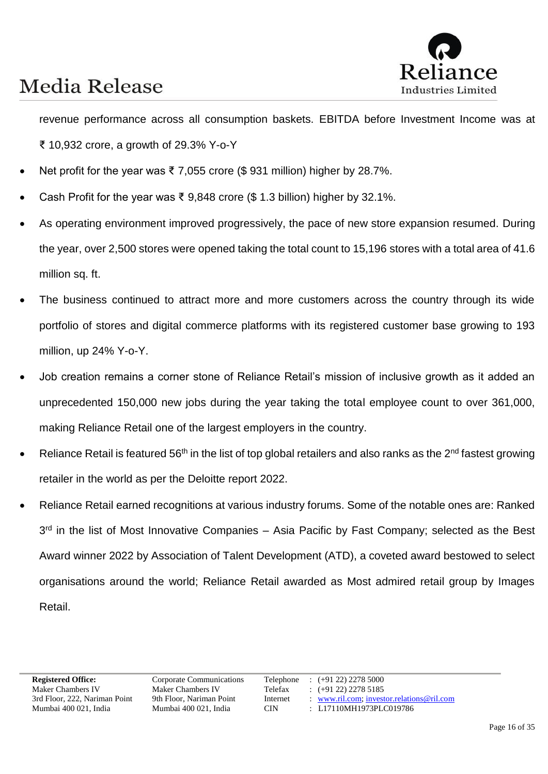

revenue performance across all consumption baskets. EBITDA before Investment Income was at ₹ 10,932 crore, a growth of 29.3% Y-o-Y

- Net profit for the year was ₹ 7,055 crore (\$931 million) higher by 28.7%.
- Cash Profit for the year was ₹ 9,848 crore (\$1.3 billion) higher by 32.1%.
- As operating environment improved progressively, the pace of new store expansion resumed. During the year, over 2,500 stores were opened taking the total count to 15,196 stores with a total area of 41.6 million sq. ft.
- The business continued to attract more and more customers across the country through its wide portfolio of stores and digital commerce platforms with its registered customer base growing to 193 million, up 24% Y-o-Y.
- Job creation remains a corner stone of Reliance Retail's mission of inclusive growth as it added an unprecedented 150,000 new jobs during the year taking the total employee count to over 361,000, making Reliance Retail one of the largest employers in the country.
- Reliance Retail is featured 56<sup>th</sup> in the list of top global retailers and also ranks as the 2<sup>nd</sup> fastest growing retailer in the world as per the Deloitte report 2022.
- Reliance Retail earned recognitions at various industry forums. Some of the notable ones are: Ranked 3<sup>rd</sup> in the list of Most Innovative Companies - Asia Pacific by Fast Company; selected as the Best Award winner 2022 by Association of Talent Development (ATD), a coveted award bestowed to select organisations around the world; Reliance Retail awarded as Most admired retail group by Images Retail.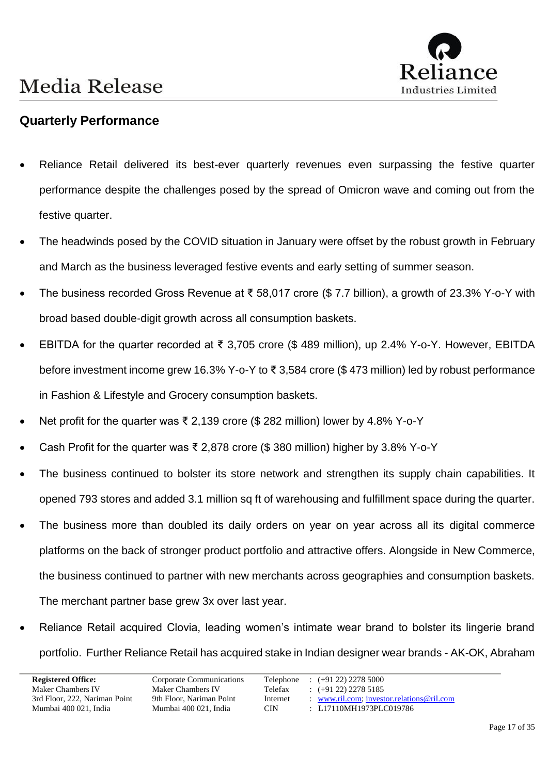

### **Quarterly Performance**

- Reliance Retail delivered its best-ever quarterly revenues even surpassing the festive quarter performance despite the challenges posed by the spread of Omicron wave and coming out from the festive quarter.
- The headwinds posed by the COVID situation in January were offset by the robust growth in February and March as the business leveraged festive events and early setting of summer season.
- The business recorded Gross Revenue at ₹ 58,017 crore (\$ 7.7 billion), a growth of 23.3% Y-o-Y with broad based double-digit growth across all consumption baskets.
- EBITDA for the quarter recorded at ₹ 3,705 crore (\$ 489 million), up 2.4% Y-o-Y. However, EBITDA before investment income grew 16.3% Y-o-Y to ₹ 3,584 crore (\$ 473 million) led by robust performance in Fashion & Lifestyle and Grocery consumption baskets.
- Net profit for the quarter was ₹ 2,139 crore (\$ 282 million) lower by 4.8% Y-o-Y
- Cash Profit for the quarter was ₹ 2,878 crore (\$380 million) higher by 3.8% Y-o-Y
- The business continued to bolster its store network and strengthen its supply chain capabilities. It opened 793 stores and added 3.1 million sq ft of warehousing and fulfillment space during the quarter.
- The business more than doubled its daily orders on year on year across all its digital commerce platforms on the back of stronger product portfolio and attractive offers. Alongside in New Commerce, the business continued to partner with new merchants across geographies and consumption baskets. The merchant partner base grew 3x over last year.
- Reliance Retail acquired Clovia, leading women's intimate wear brand to bolster its lingerie brand portfolio. Further Reliance Retail has acquired stake in Indian designer wear brands - AK-OK, Abraham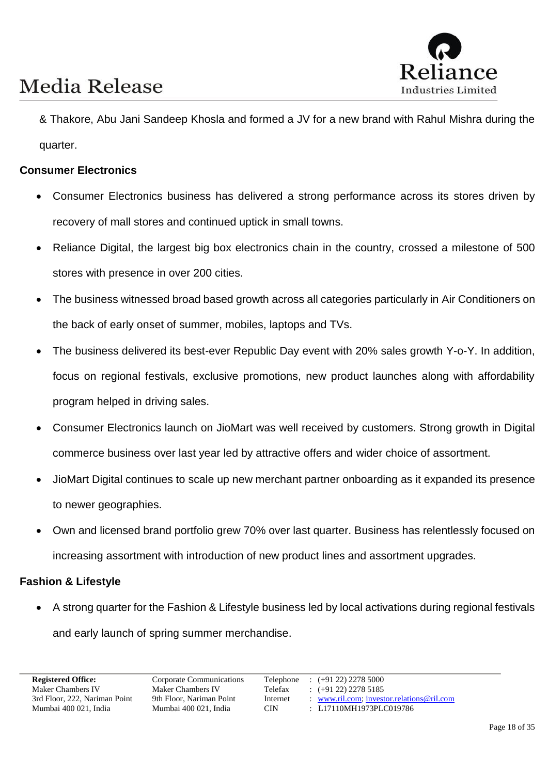

& Thakore, Abu Jani Sandeep Khosla and formed a JV for a new brand with Rahul Mishra during the quarter.

#### **Consumer Electronics**

- Consumer Electronics business has delivered a strong performance across its stores driven by recovery of mall stores and continued uptick in small towns.
- Reliance Digital, the largest big box electronics chain in the country, crossed a milestone of 500 stores with presence in over 200 cities.
- The business witnessed broad based growth across all categories particularly in Air Conditioners on the back of early onset of summer, mobiles, laptops and TVs.
- The business delivered its best-ever Republic Day event with 20% sales growth Y-o-Y. In addition, focus on regional festivals, exclusive promotions, new product launches along with affordability program helped in driving sales.
- Consumer Electronics launch on JioMart was well received by customers. Strong growth in Digital commerce business over last year led by attractive offers and wider choice of assortment.
- JioMart Digital continues to scale up new merchant partner onboarding as it expanded its presence to newer geographies.
- Own and licensed brand portfolio grew 70% over last quarter. Business has relentlessly focused on increasing assortment with introduction of new product lines and assortment upgrades.

#### **Fashion & Lifestyle**

• A strong quarter for the Fashion & Lifestyle business led by local activations during regional festivals and early launch of spring summer merchandise.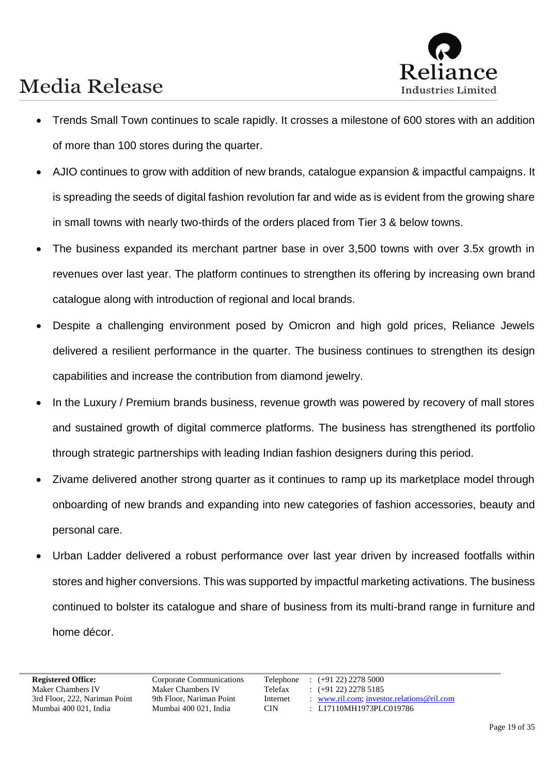

- Trends Small Town continues to scale rapidly. It crosses a milestone of 600 stores with an addition of more than 100 stores during the quarter.
- AJIO continues to grow with addition of new brands, catalogue expansion & impactful campaigns. It is spreading the seeds of digital fashion revolution far and wide as is evident from the growing share in small towns with nearly two-thirds of the orders placed from Tier 3 & below towns.
- The business expanded its merchant partner base in over 3,500 towns with over 3.5x growth in revenues over last year. The platform continues to strengthen its offering by increasing own brand catalogue along with introduction of regional and local brands.
- Despite a challenging environment posed by Omicron and high gold prices, Reliance Jewels delivered a resilient performance in the quarter. The business continues to strengthen its design capabilities and increase the contribution from diamond jewelry.
- In the Luxury / Premium brands business, revenue growth was powered by recovery of mall stores and sustained growth of digital commerce platforms. The business has strengthened its portfolio through strategic partnerships with leading Indian fashion designers during this period.
- Zivame delivered another strong quarter as it continues to ramp up its marketplace model through onboarding of new brands and expanding into new categories of fashion accessories, beauty and personal care.
- Urban Ladder delivered a robust performance over last year driven by increased footfalls within stores and higher conversions. This was supported by impactful marketing activations. The business continued to bolster its catalogue and share of business from its multi-brand range in furniture and home décor.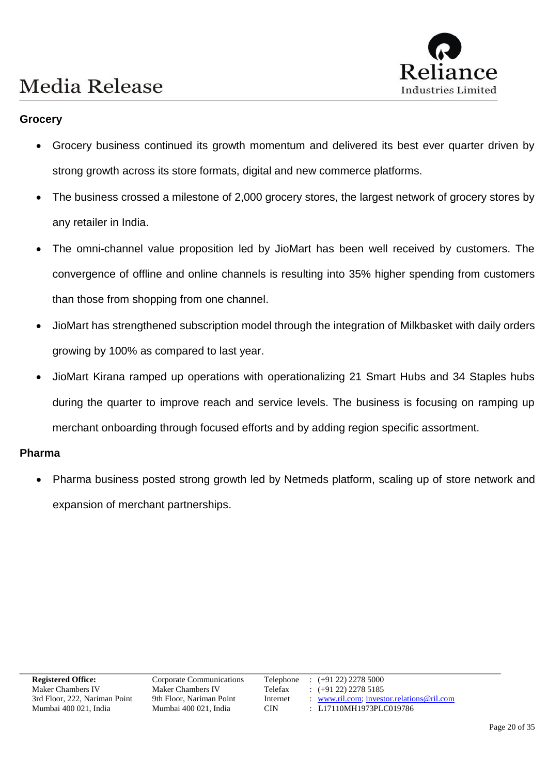# Industries Limited

### **Media Release**

#### **Grocery**

- Grocery business continued its growth momentum and delivered its best ever quarter driven by strong growth across its store formats, digital and new commerce platforms.
- The business crossed a milestone of 2,000 grocery stores, the largest network of grocery stores by any retailer in India.
- The omni-channel value proposition led by JioMart has been well received by customers. The convergence of offline and online channels is resulting into 35% higher spending from customers than those from shopping from one channel.
- JioMart has strengthened subscription model through the integration of Milkbasket with daily orders growing by 100% as compared to last year.
- JioMart Kirana ramped up operations with operationalizing 21 Smart Hubs and 34 Staples hubs during the quarter to improve reach and service levels. The business is focusing on ramping up merchant onboarding through focused efforts and by adding region specific assortment.

#### **Pharma**

• Pharma business posted strong growth led by Netmeds platform, scaling up of store network and expansion of merchant partnerships.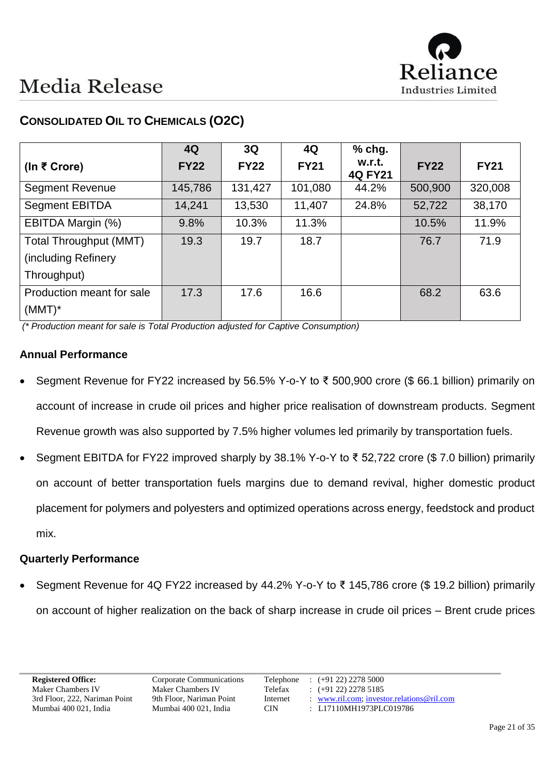

|                           | 4Q          | 3Q          | 4Q          | $%$ chg.                 |             |             |
|---------------------------|-------------|-------------|-------------|--------------------------|-------------|-------------|
| (In ₹ Crore)              | <b>FY22</b> | <b>FY22</b> | <b>FY21</b> | w.r.t.<br><b>4Q FY21</b> | <b>FY22</b> | <b>FY21</b> |
| <b>Segment Revenue</b>    | 145,786     | 131,427     | 101,080     | 44.2%                    | 500,900     | 320,008     |
| <b>Segment EBITDA</b>     | 14,241      | 13,530      | 11,407      | 24.8%                    | 52,722      | 38,170      |
| EBITDA Margin (%)         | 9.8%        | 10.3%       | 11.3%       |                          | 10.5%       | 11.9%       |
| Total Throughput (MMT)    | 19.3        | 19.7        | 18.7        |                          | 76.7        | 71.9        |
| (including Refinery       |             |             |             |                          |             |             |
| Throughput)               |             |             |             |                          |             |             |
| Production meant for sale | 17.3        | 17.6        | 16.6        |                          | 68.2        | 63.6        |
| $(MMT)^*$                 |             |             |             |                          |             |             |

### **CONSOLIDATED OIL TO CHEMICALS (O2C)**

*(\* Production meant for sale is Total Production adjusted for Captive Consumption)*

#### **Annual Performance**

- Segment Revenue for FY22 increased by 56.5% Y-o-Y to ₹ 500,900 crore (\$ 66.1 billion) primarily on account of increase in crude oil prices and higher price realisation of downstream products. Segment Revenue growth was also supported by 7.5% higher volumes led primarily by transportation fuels.
- Segment EBITDA for FY22 improved sharply by 38.1% Y-o-Y to ₹ 52,722 crore (\$ 7.0 billion) primarily on account of better transportation fuels margins due to demand revival, higher domestic product placement for polymers and polyesters and optimized operations across energy, feedstock and product mix.

#### **Quarterly Performance**

• Segment Revenue for 4Q FY22 increased by 44.2% Y-o-Y to ₹ 145,786 crore (\$ 19.2 billion) primarily on account of higher realization on the back of sharp increase in crude oil prices – Brent crude prices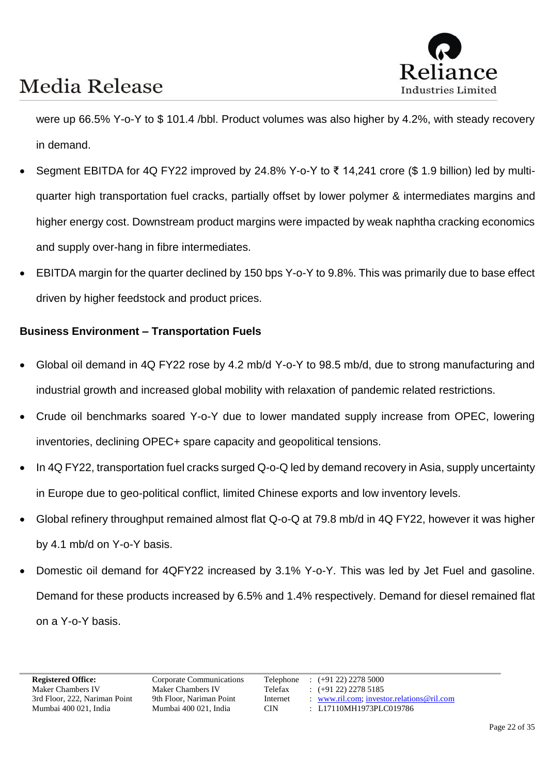

were up 66.5% Y-o-Y to \$ 101.4 /bbl. Product volumes was also higher by 4.2%, with steady recovery in demand.

- Segment EBITDA for 4Q FY22 improved by 24.8% Y-o-Y to ₹ 14,241 crore (\$ 1.9 billion) led by multiquarter high transportation fuel cracks, partially offset by lower polymer & intermediates margins and higher energy cost. Downstream product margins were impacted by weak naphtha cracking economics and supply over-hang in fibre intermediates.
- EBITDA margin for the quarter declined by 150 bps Y-o-Y to 9.8%. This was primarily due to base effect driven by higher feedstock and product prices.

#### **Business Environment – Transportation Fuels**

- Global oil demand in 4Q FY22 rose by 4.2 mb/d Y-o-Y to 98.5 mb/d, due to strong manufacturing and industrial growth and increased global mobility with relaxation of pandemic related restrictions.
- Crude oil benchmarks soared Y-o-Y due to lower mandated supply increase from OPEC, lowering inventories, declining OPEC+ spare capacity and geopolitical tensions.
- In 4Q FY22, transportation fuel cracks surged Q-o-Q led by demand recovery in Asia, supply uncertainty in Europe due to geo-political conflict, limited Chinese exports and low inventory levels.
- Global refinery throughput remained almost flat Q-o-Q at 79.8 mb/d in 4Q FY22, however it was higher by 4.1 mb/d on Y-o-Y basis.
- Domestic oil demand for 4QFY22 increased by 3.1% Y-o-Y. This was led by Jet Fuel and gasoline. Demand for these products increased by 6.5% and 1.4% respectively. Demand for diesel remained flat on a Y-o-Y basis.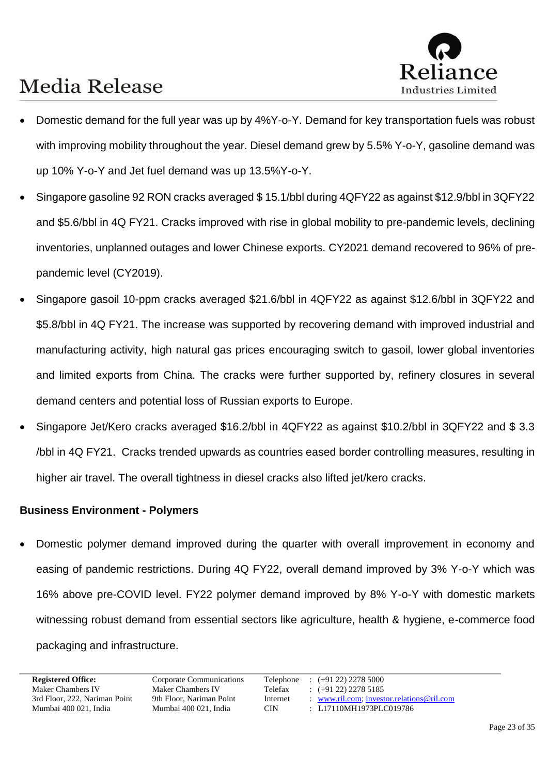

- Domestic demand for the full year was up by 4%Y-o-Y. Demand for key transportation fuels was robust with improving mobility throughout the year. Diesel demand grew by 5.5% Y-o-Y, gasoline demand was up 10% Y-o-Y and Jet fuel demand was up 13.5%Y-o-Y.
- Singapore gasoline 92 RON cracks averaged \$ 15.1/bbl during 4QFY22 as against \$12.9/bbl in 3QFY22 and \$5.6/bbl in 4Q FY21. Cracks improved with rise in global mobility to pre-pandemic levels, declining inventories, unplanned outages and lower Chinese exports. CY2021 demand recovered to 96% of prepandemic level (CY2019).
- Singapore gasoil 10-ppm cracks averaged \$21.6/bbl in 4QFY22 as against \$12.6/bbl in 3QFY22 and \$5.8/bbl in 4Q FY21. The increase was supported by recovering demand with improved industrial and manufacturing activity, high natural gas prices encouraging switch to gasoil, lower global inventories and limited exports from China. The cracks were further supported by, refinery closures in several demand centers and potential loss of Russian exports to Europe.
- Singapore Jet/Kero cracks averaged \$16.2/bbl in 4QFY22 as against \$10.2/bbl in 3QFY22 and \$ 3.3 /bbl in 4Q FY21. Cracks trended upwards as countries eased border controlling measures, resulting in higher air travel. The overall tightness in diesel cracks also lifted jet/kero cracks.

#### **Business Environment - Polymers**

• Domestic polymer demand improved during the quarter with overall improvement in economy and easing of pandemic restrictions. During 4Q FY22, overall demand improved by 3% Y-o-Y which was 16% above pre-COVID level. FY22 polymer demand improved by 8% Y-o-Y with domestic markets witnessing robust demand from essential sectors like agriculture, health & hygiene, e-commerce food packaging and infrastructure.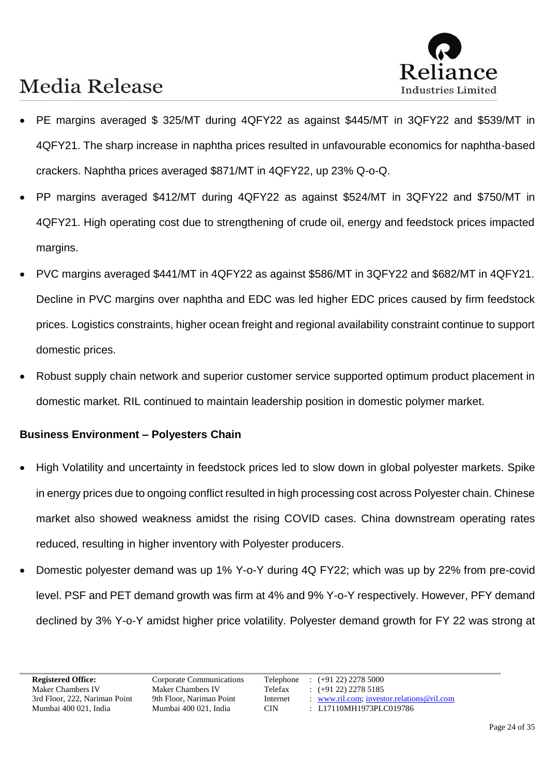

- PE margins averaged \$ 325/MT during 4QFY22 as against \$445/MT in 3QFY22 and \$539/MT in 4QFY21. The sharp increase in naphtha prices resulted in unfavourable economics for naphtha-based crackers. Naphtha prices averaged \$871/MT in 4QFY22, up 23% Q-o-Q.
- PP margins averaged \$412/MT during 4QFY22 as against \$524/MT in 3QFY22 and \$750/MT in 4QFY21. High operating cost due to strengthening of crude oil, energy and feedstock prices impacted margins.
- PVC margins averaged \$441/MT in 4QFY22 as against \$586/MT in 3QFY22 and \$682/MT in 4QFY21. Decline in PVC margins over naphtha and EDC was led higher EDC prices caused by firm feedstock prices. Logistics constraints, higher ocean freight and regional availability constraint continue to support domestic prices.
- Robust supply chain network and superior customer service supported optimum product placement in domestic market. RIL continued to maintain leadership position in domestic polymer market.

#### **Business Environment – Polyesters Chain**

- High Volatility and uncertainty in feedstock prices led to slow down in global polyester markets. Spike in energy prices due to ongoing conflict resulted in high processing cost across Polyester chain. Chinese market also showed weakness amidst the rising COVID cases. China downstream operating rates reduced, resulting in higher inventory with Polyester producers.
- Domestic polyester demand was up 1% Y-o-Y during 4Q FY22; which was up by 22% from pre-covid level. PSF and PET demand growth was firm at 4% and 9% Y-o-Y respectively. However, PFY demand declined by 3% Y-o-Y amidst higher price volatility. Polyester demand growth for FY 22 was strong at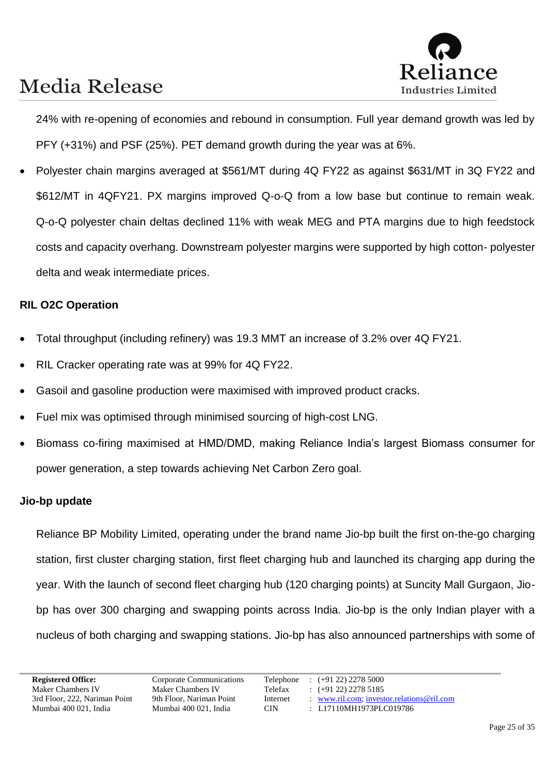

24% with re-opening of economies and rebound in consumption. Full year demand growth was led by PFY (+31%) and PSF (25%). PET demand growth during the year was at 6%.

• Polyester chain margins averaged at \$561/MT during 4Q FY22 as against \$631/MT in 3Q FY22 and \$612/MT in 4QFY21. PX margins improved Q-o-Q from a low base but continue to remain weak. Q-o-Q polyester chain deltas declined 11% with weak MEG and PTA margins due to high feedstock costs and capacity overhang. Downstream polyester margins were supported by high cotton- polyester delta and weak intermediate prices.

#### **RIL O2C Operation**

- Total throughput (including refinery) was 19.3 MMT an increase of 3.2% over 4Q FY21.
- RIL Cracker operating rate was at 99% for 4Q FY22.
- Gasoil and gasoline production were maximised with improved product cracks.
- Fuel mix was optimised through minimised sourcing of high-cost LNG.
- Biomass co-firing maximised at HMD/DMD, making Reliance India's largest Biomass consumer for power generation, a step towards achieving Net Carbon Zero goal.

#### **Jio-bp update**

Reliance BP Mobility Limited, operating under the brand name Jio-bp built the first on-the-go charging station, first cluster charging station, first fleet charging hub and launched its charging app during the year. With the launch of second fleet charging hub (120 charging points) at Suncity Mall Gurgaon, Jiobp has over 300 charging and swapping points across India. Jio-bp is the only Indian player with a nucleus of both charging and swapping stations. Jio-bp has also announced partnerships with some of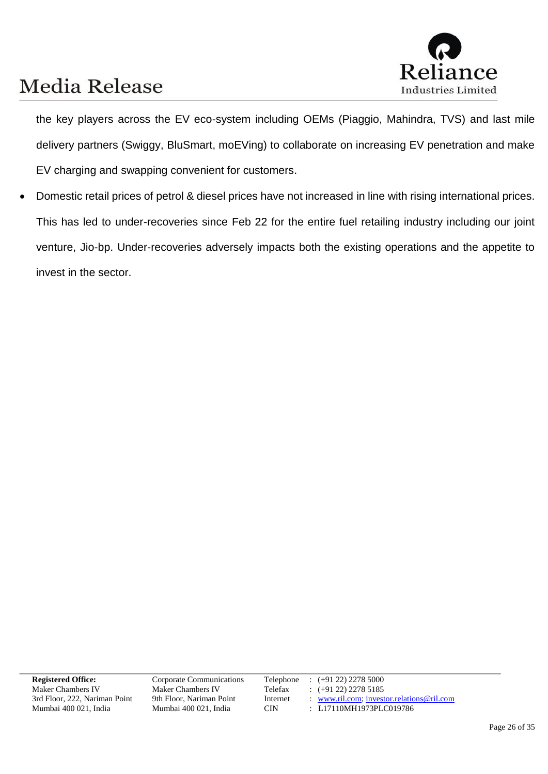

the key players across the EV eco-system including OEMs (Piaggio, Mahindra, TVS) and last mile delivery partners (Swiggy, BluSmart, moEVing) to collaborate on increasing EV penetration and make EV charging and swapping convenient for customers.

• Domestic retail prices of petrol & diesel prices have not increased in line with rising international prices. This has led to under-recoveries since Feb 22 for the entire fuel retailing industry including our joint venture, Jio-bp. Under-recoveries adversely impacts both the existing operations and the appetite to invest in the sector.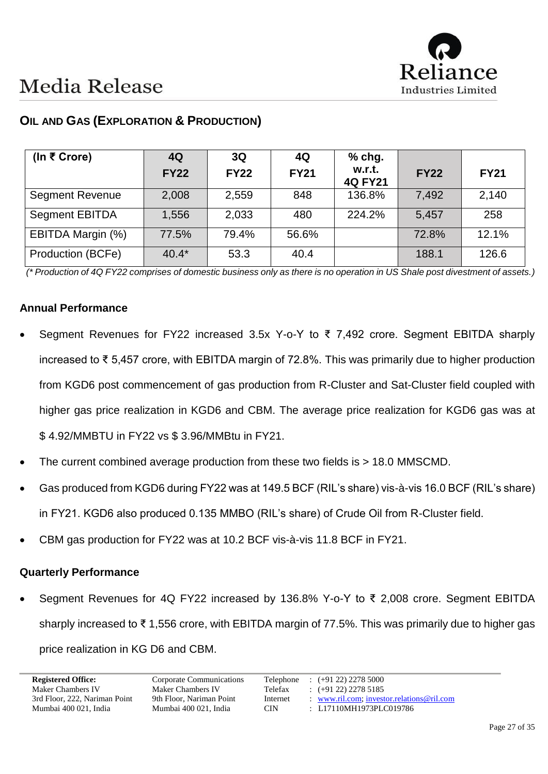

| (In ₹ Crore)           | 4Q<br><b>FY22</b> | 3Q<br><b>FY22</b> | 4Q<br><b>FY21</b> | $%$ chg.<br>w.r.t.<br><b>4Q FY21</b> | <b>FY22</b> | <b>FY21</b> |
|------------------------|-------------------|-------------------|-------------------|--------------------------------------|-------------|-------------|
| <b>Segment Revenue</b> | 2,008             | 2,559             | 848               | 136.8%                               | 7,492       | 2,140       |
| <b>Segment EBITDA</b>  | 1,556             | 2,033             | 480               | 224.2%                               | 5,457       | 258         |
| EBITDA Margin (%)      | 77.5%             | 79.4%             | 56.6%             |                                      | 72.8%       | 12.1%       |
| Production (BCFe)      | $40.4*$           | 53.3              | 40.4              |                                      | 188.1       | 126.6       |

### **OIL AND GAS (EXPLORATION & PRODUCTION)**

*(\* Production of 4Q FY22 comprises of domestic business only as there is no operation in US Shale post divestment of assets.)*

#### **Annual Performance**

- Segment Revenues for FY22 increased 3.5x Y-o-Y to ₹ 7,492 crore. Segment EBITDA sharply increased to ₹ 5,457 crore, with EBITDA margin of 72.8%. This was primarily due to higher production from KGD6 post commencement of gas production from R-Cluster and Sat-Cluster field coupled with higher gas price realization in KGD6 and CBM. The average price realization for KGD6 gas was at \$ 4.92/MMBTU in FY22 vs \$ 3.96/MMBtu in FY21.
- The current combined average production from these two fields is > 18.0 MMSCMD.
- Gas produced from KGD6 during FY22 was at 149.5 BCF (RIL's share) vis-à-vis 16.0 BCF (RIL's share) in FY21. KGD6 also produced 0.135 MMBO (RIL's share) of Crude Oil from R-Cluster field.
- CBM gas production for FY22 was at 10.2 BCF vis-à-vis 11.8 BCF in FY21.

#### **Quarterly Performance**

• Segment Revenues for 4Q FY22 increased by 136.8% Y-o-Y to ₹ 2,008 crore. Segment EBITDA sharply increased to ₹ 1,556 crore, with EBITDA margin of 77.5%. This was primarily due to higher gas price realization in KG D6 and CBM.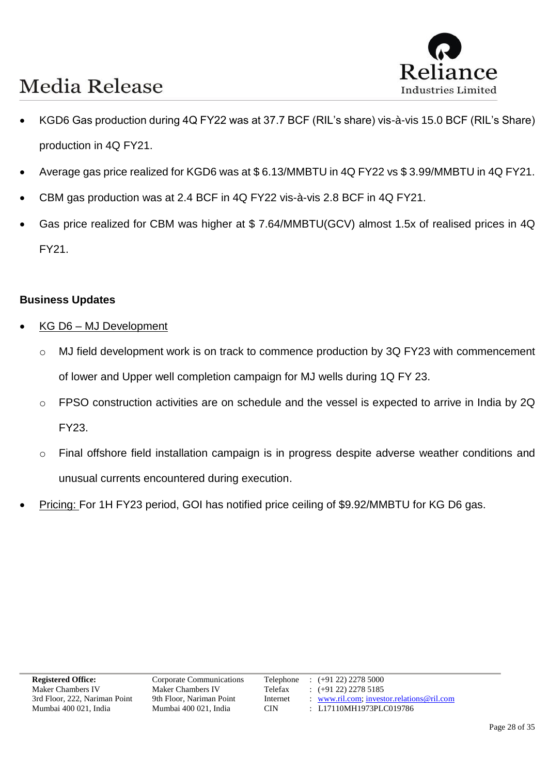

- KGD6 Gas production during 4Q FY22 was at 37.7 BCF (RIL's share) vis-à-vis 15.0 BCF (RIL's Share) production in 4Q FY21.
- Average gas price realized for KGD6 was at \$ 6.13/MMBTU in 4Q FY22 vs \$ 3.99/MMBTU in 4Q FY21.
- CBM gas production was at 2.4 BCF in 4Q FY22 vis-à-vis 2.8 BCF in 4Q FY21.
- Gas price realized for CBM was higher at \$ 7.64/MMBTU(GCV) almost 1.5x of realised prices in 4Q FY21.

#### **Business Updates**

- KG D6 MJ Development
	- o MJ field development work is on track to commence production by 3Q FY23 with commencement of lower and Upper well completion campaign for MJ wells during 1Q FY 23.
	- o FPSO construction activities are on schedule and the vessel is expected to arrive in India by 2Q FY23.
	- o Final offshore field installation campaign is in progress despite adverse weather conditions and unusual currents encountered during execution.
- Pricing: For 1H FY23 period, GOI has notified price ceiling of \$9.92/MMBTU for KG D6 gas.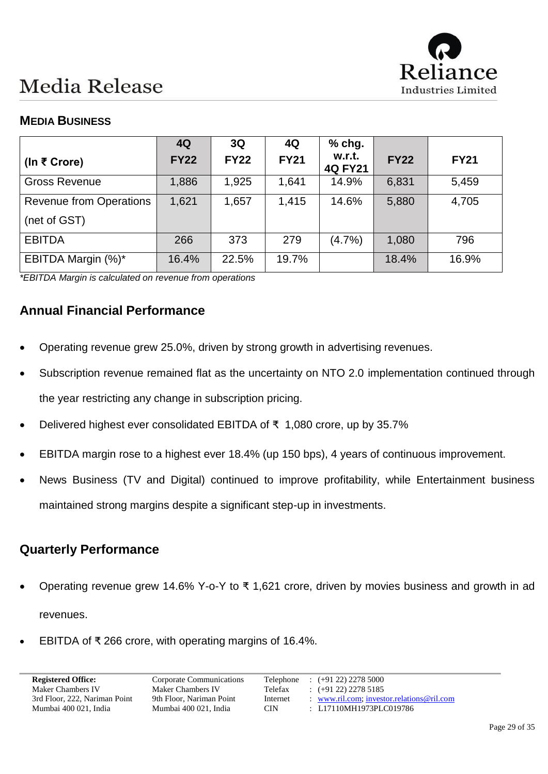

### **MEDIA BUSINESS**

|                                                | 4Q          | 3Q          | 4Q          | $%$ chg.                 |             |             |
|------------------------------------------------|-------------|-------------|-------------|--------------------------|-------------|-------------|
| (In ₹ Crore)                                   | <b>FY22</b> | <b>FY22</b> | <b>FY21</b> | w.r.t.<br><b>4Q FY21</b> | <b>FY22</b> | <b>FY21</b> |
| <b>Gross Revenue</b>                           | 1,886       | 1,925       | 1,641       | 14.9%                    | 6,831       | 5,459       |
| <b>Revenue from Operations</b><br>(net of GST) | 1,621       | 1,657       | 1,415       | 14.6%                    | 5,880       | 4,705       |
| <b>EBITDA</b>                                  | 266         | 373         | 279         | (4.7%)                   | 1,080       | 796         |
| EBITDA Margin (%)*                             | 16.4%       | 22.5%       | 19.7%       |                          | 18.4%       | 16.9%       |

*\*EBITDA Margin is calculated on revenue from operations*

### **Annual Financial Performance**

- Operating revenue grew 25.0%, driven by strong growth in advertising revenues.
- Subscription revenue remained flat as the uncertainty on NTO 2.0 implementation continued through the year restricting any change in subscription pricing.
- Delivered highest ever consolidated EBITDA of ₹ 1,080 crore, up by 35.7%
- EBITDA margin rose to a highest ever 18.4% (up 150 bps), 4 years of continuous improvement.
- News Business (TV and Digital) continued to improve profitability, while Entertainment business maintained strong margins despite a significant step-up in investments.

### **Quarterly Performance**

- Operating revenue grew 14.6% Y-o-Y to ₹ 1,621 crore, driven by movies business and growth in ad revenues.
- EBITDA of ₹ 266 crore, with operating margins of 16.4%.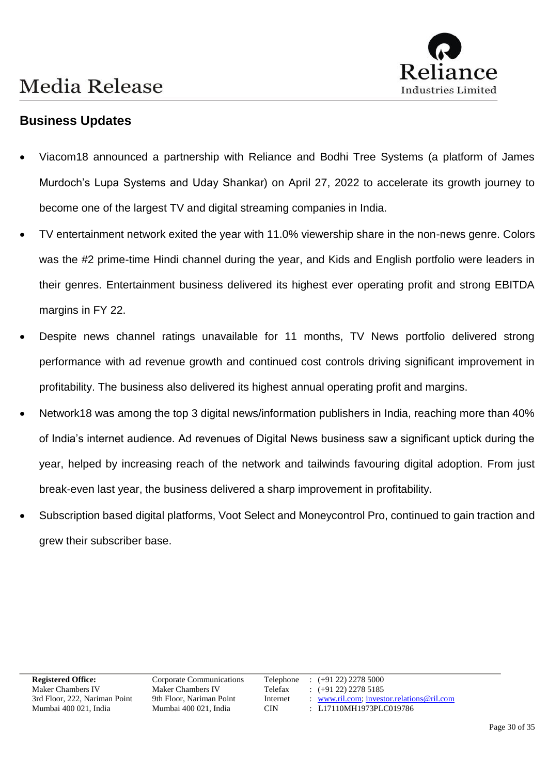

### **Business Updates**

- Viacom18 announced a partnership with Reliance and Bodhi Tree Systems (a platform of James Murdoch's Lupa Systems and Uday Shankar) on April 27, 2022 to accelerate its growth journey to become one of the largest TV and digital streaming companies in India.
- TV entertainment network exited the year with 11.0% viewership share in the non-news genre. Colors was the #2 prime-time Hindi channel during the year, and Kids and English portfolio were leaders in their genres. Entertainment business delivered its highest ever operating profit and strong EBITDA margins in FY 22.
- Despite news channel ratings unavailable for 11 months, TV News portfolio delivered strong performance with ad revenue growth and continued cost controls driving significant improvement in profitability. The business also delivered its highest annual operating profit and margins.
- Network18 was among the top 3 digital news/information publishers in India, reaching more than 40% of India's internet audience. Ad revenues of Digital News business saw a significant uptick during the year, helped by increasing reach of the network and tailwinds favouring digital adoption. From just break-even last year, the business delivered a sharp improvement in profitability.
- Subscription based digital platforms, Voot Select and Moneycontrol Pro, continued to gain traction and grew their subscriber base.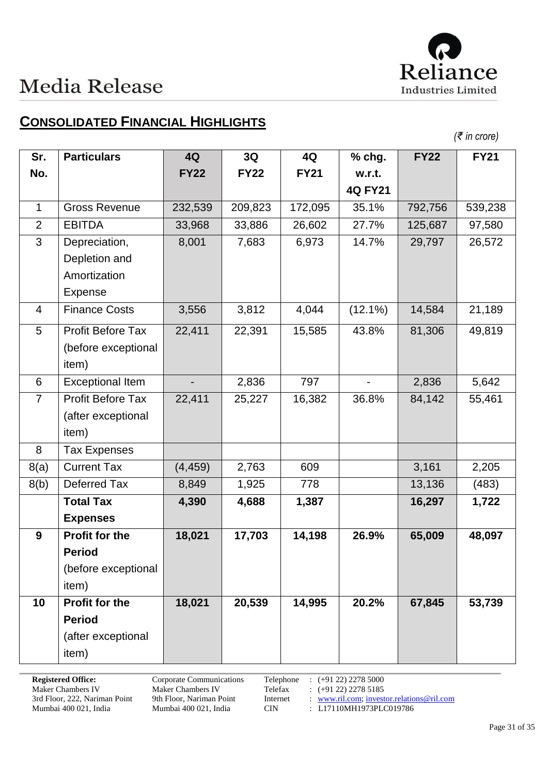

### **CONSOLIDATED FINANCIAL HIGHLIGHTS**

|  |  | (₹ in crore) |
|--|--|--------------|
|--|--|--------------|

| Sr.            | <b>Particulars</b>       | 4Q                       | 3Q          | 4Q          | $%$ chg.       | <b>FY22</b> | <b>FY21</b> |
|----------------|--------------------------|--------------------------|-------------|-------------|----------------|-------------|-------------|
| No.            |                          | <b>FY22</b>              | <b>FY22</b> | <b>FY21</b> | w.r.t.         |             |             |
|                |                          |                          |             |             | <b>4Q FY21</b> |             |             |
| $\mathbf{1}$   | <b>Gross Revenue</b>     | 232,539                  | 209,823     | 172,095     | 35.1%          | 792,756     | 539,238     |
| $\overline{2}$ | <b>EBITDA</b>            | 33,968                   | 33,886      | 26,602      | 27.7%          | 125,687     | 97,580      |
| 3              | Depreciation,            | 8,001                    | 7,683       | 6,973       | 14.7%          | 29,797      | 26,572      |
|                | Depletion and            |                          |             |             |                |             |             |
|                | Amortization             |                          |             |             |                |             |             |
|                | Expense                  |                          |             |             |                |             |             |
| 4              | <b>Finance Costs</b>     | 3,556                    | 3,812       | 4,044       | $(12.1\%)$     | 14,584      | 21,189      |
| 5              | <b>Profit Before Tax</b> | 22,411                   | 22,391      | 15,585      | 43.8%          | 81,306      | 49,819      |
|                | (before exceptional      |                          |             |             |                |             |             |
|                | item)                    |                          |             |             |                |             |             |
| 6              | <b>Exceptional Item</b>  | $\overline{\phantom{a}}$ | 2,836       | 797         | $\blacksquare$ | 2,836       | 5,642       |
| $\overline{7}$ | <b>Profit Before Tax</b> | 22,411                   | 25,227      | 16,382      | 36.8%          | 84,142      | 55,461      |
|                | (after exceptional       |                          |             |             |                |             |             |
|                | item)                    |                          |             |             |                |             |             |
| 8              | <b>Tax Expenses</b>      |                          |             |             |                |             |             |
| 8(a)           | <b>Current Tax</b>       | (4, 459)                 | 2,763       | 609         |                | 3,161       | 2,205       |
| 8(b)           | Deferred Tax             | 8,849                    | 1,925       | 778         |                | 13,136      | (483)       |
|                | <b>Total Tax</b>         | 4,390                    | 4,688       | 1,387       |                | 16,297      | 1,722       |
|                | <b>Expenses</b>          |                          |             |             |                |             |             |
| 9              | <b>Profit for the</b>    | 18,021                   | 17,703      | 14,198      | 26.9%          | 65,009      | 48,097      |
|                | <b>Period</b>            |                          |             |             |                |             |             |
|                | (before exceptional      |                          |             |             |                |             |             |
|                | item)                    |                          |             |             |                |             |             |
| 10             | Profit for the           | 18,021                   | 20,539      | 14,995      | 20.2%          | 67,845      | 53,739      |
|                | <b>Period</b>            |                          |             |             |                |             |             |
|                | (after exceptional       |                          |             |             |                |             |             |
|                | item)                    |                          |             |             |                |             |             |

**Registered Office:** Corporate Communications<br>
Maker Chambers IV<br>
Maker Chambers IV<br>
Telefax : (+91 22) 2278 5185 Maker Chambers IV<br>
Maker Chambers IV<br>
Telefax : (+91 22) 2278 5185<br>
3rd Floor, 222, Nariman Point 9th Floor, Nariman Point Internet : www.ril.com; invest 3rd Floor, 222, Nariman Point 9th Floor, Nariman Point Internet : [www.ril.com;](http://www.ril.com/) [investor.relations@ril.com](mailto:investor.relations@ril.com)<br>Mumbai 400 021, India 100 021, India CIN : L17110MH1973PLC019786

: L17110MH1973PLC019786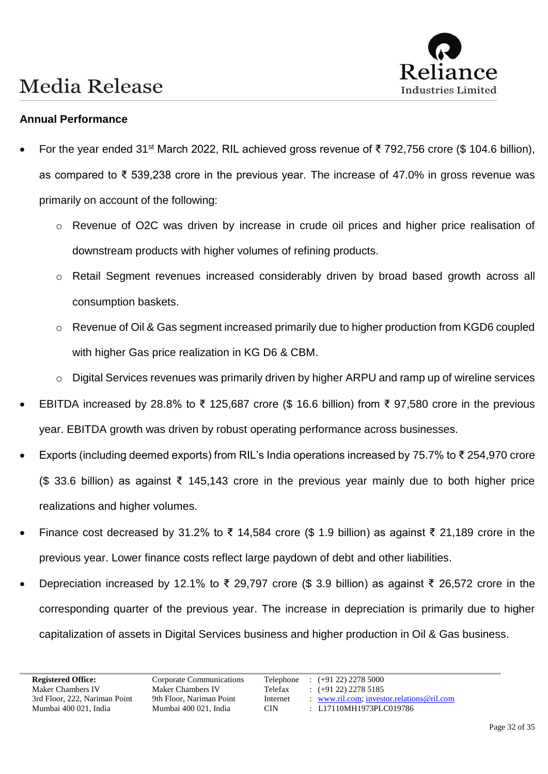

#### **Annual Performance**

- For the year ended 31<sup>st</sup> March 2022, RIL achieved gross revenue of ₹ 792,756 crore (\$ 104.6 billion), as compared to ₹ 539,238 crore in the previous year. The increase of 47.0% in gross revenue was primarily on account of the following:
	- o Revenue of O2C was driven by increase in crude oil prices and higher price realisation of downstream products with higher volumes of refining products.
	- o Retail Segment revenues increased considerably driven by broad based growth across all consumption baskets.
	- o Revenue of Oil & Gas segment increased primarily due to higher production from KGD6 coupled with higher Gas price realization in KG D6 & CBM.
	- o Digital Services revenues was primarily driven by higher ARPU and ramp up of wireline services
- EBITDA increased by 28.8% to ₹ 125,687 crore (\$ 16.6 billion) from ₹ 97,580 crore in the previous year. EBITDA growth was driven by robust operating performance across businesses.
- Exports (including deemed exports) from RIL's India operations increased by 75.7% to ₹ 254,970 crore (\$ 33.6 billion) as against ₹ 145,143 crore in the previous year mainly due to both higher price realizations and higher volumes.
- Finance cost decreased by 31.2% to ₹ 14,584 crore (\$ 1.9 billion) as against ₹ 21,189 crore in the previous year. Lower finance costs reflect large paydown of debt and other liabilities.
- Depreciation increased by 12.1% to ₹ 29,797 crore (\$ 3.9 billion) as against ₹ 26,572 crore in the corresponding quarter of the previous year. The increase in depreciation is primarily due to higher capitalization of assets in Digital Services business and higher production in Oil & Gas business.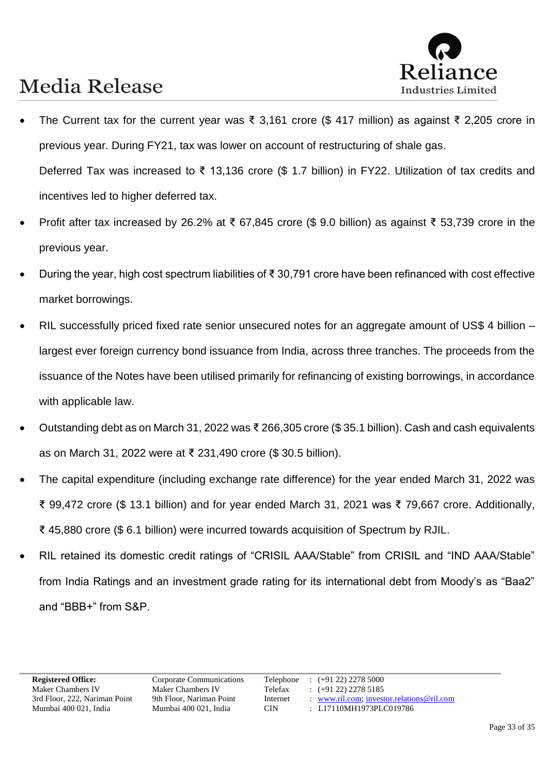

- The Current tax for the current year was ₹ 3,161 crore (\$ 417 million) as against ₹ 2,205 crore in previous year. During FY21, tax was lower on account of restructuring of shale gas. Deferred Tax was increased to ₹ 13,136 crore (\$ 1.7 billion) in FY22. Utilization of tax credits and incentives led to higher deferred tax.
- Profit after tax increased by 26.2% at ₹ 67,845 crore (\$ 9.0 billion) as against ₹ 53,739 crore in the previous year.
- During the year, high cost spectrum liabilities of ₹ 30,791 crore have been refinanced with cost effective market borrowings.
- RIL successfully priced fixed rate senior unsecured notes for an aggregate amount of US\$ 4 billion largest ever foreign currency bond issuance from India, across three tranches. The proceeds from the issuance of the Notes have been utilised primarily for refinancing of existing borrowings, in accordance with applicable law.
- Outstanding debt as on March 31, 2022 was ₹ 266,305 crore (\$ 35.1 billion). Cash and cash equivalents as on March 31, 2022 were at ₹ 231,490 crore (\$ 30.5 billion).
- The capital expenditure (including exchange rate difference) for the year ended March 31, 2022 was ₹ 99,472 crore (\$ 13.1 billion) and for year ended March 31, 2021 was ₹ 79,667 crore. Additionally, ₹ 45,880 crore (\$ 6.1 billion) were incurred towards acquisition of Spectrum by RJIL.
- RIL retained its domestic credit ratings of "CRISIL AAA/Stable" from CRISIL and "IND AAA/Stable" from India Ratings and an investment grade rating for its international debt from Moody's as "Baa2" and "BBB+" from S&P.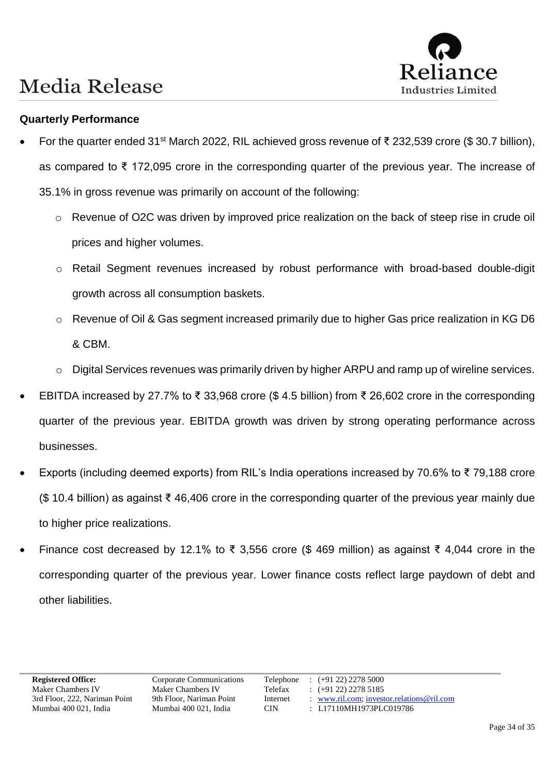# Industries Limited

# **Media Release**

#### **Quarterly Performance**

- For the quarter ended 31<sup>st</sup> March 2022, RIL achieved gross revenue of ₹ 232,539 crore (\$ 30.7 billion), as compared to ₹ 172,095 crore in the corresponding quarter of the previous year. The increase of 35.1% in gross revenue was primarily on account of the following:
	- o Revenue of O2C was driven by improved price realization on the back of steep rise in crude oil prices and higher volumes.
	- o Retail Segment revenues increased by robust performance with broad-based double-digit growth across all consumption baskets.
	- o Revenue of Oil & Gas segment increased primarily due to higher Gas price realization in KG D6 & CBM.
	- o Digital Services revenues was primarily driven by higher ARPU and ramp up of wireline services.
- EBITDA increased by 27.7% to ₹ 33,968 crore (\$ 4.5 billion) from ₹ 26,602 crore in the corresponding quarter of the previous year. EBITDA growth was driven by strong operating performance across businesses.
- Exports (including deemed exports) from RIL's India operations increased by 70.6% to ₹ 79,188 crore (\$ 10.4 billion) as against ₹ 46,406 crore in the corresponding quarter of the previous year mainly due to higher price realizations.
- Finance cost decreased by 12.1% to ₹ 3,556 crore (\$ 469 million) as against ₹ 4,044 crore in the corresponding quarter of the previous year. Lower finance costs reflect large paydown of debt and other liabilities.